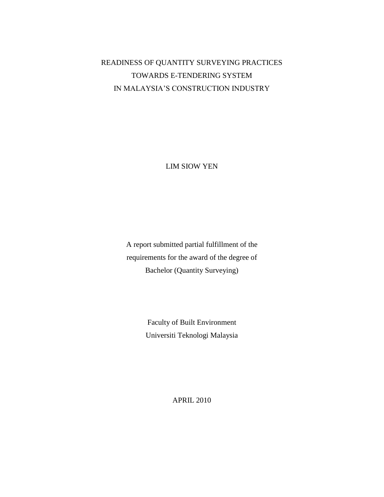## READINESS OF QUANTITY SURVEYING PRACTICES TOWARDS E-TENDERING SYSTEM IN MALAYSIA'S CONSTRUCTION INDUSTRY

LIM SIOW YEN

A report submitted partial fulfillment of the requirements for the award of the degree of Bachelor (Quantity Surveying)

> Faculty of Built Environment Universiti Teknologi Malaysia

> > APRIL 2010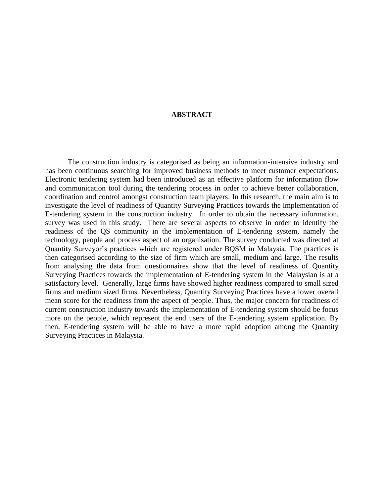## **ABSTRACT**

The construction industry is categorised as being an information-intensive industry and has been continuous searching for improved business methods to meet customer expectations. Electronic tendering system had been introduced as an effective platform for information flow and communication tool during the tendering process in order to achieve better collaboration, coordination and control amongst construction team players. In this research, the main aim is to investigate the level of readiness of Quantity Surveying Practices towards the implementation of E-tendering system in the construction industry. In order to obtain the necessary information, survey was used in this study. There are several aspects to observe in order to identify the readiness of the QS community in the implementation of E-tendering system, namely the technology, people and process aspect of an organisation. The survey conducted was directed at Quantity Surveyor's practices which are registered under BQSM in Malaysia. The practices is then categorised according to the size of firm which are small, medium and large. The results from analysing the data from questionnaires show that the level of readiness of Quantity Surveying Practices towards the implementation of E-tendering system in the Malaysian is at a satisfactory level. Generally, large firms have showed higher readiness compared to small sized firms and medium sized firms. Nevertheless, Quantity Surveying Practices have a lower overall mean score for the readiness from the aspect of people. Thus, the major concern for readiness of current construction industry towards the implementation of E-tendering system should be focus more on the people, which represent the end users of the E-tendering system application. By then, E-tendering system will be able to have a more rapid adoption among the Quantity Surveying Practices in Malaysia.